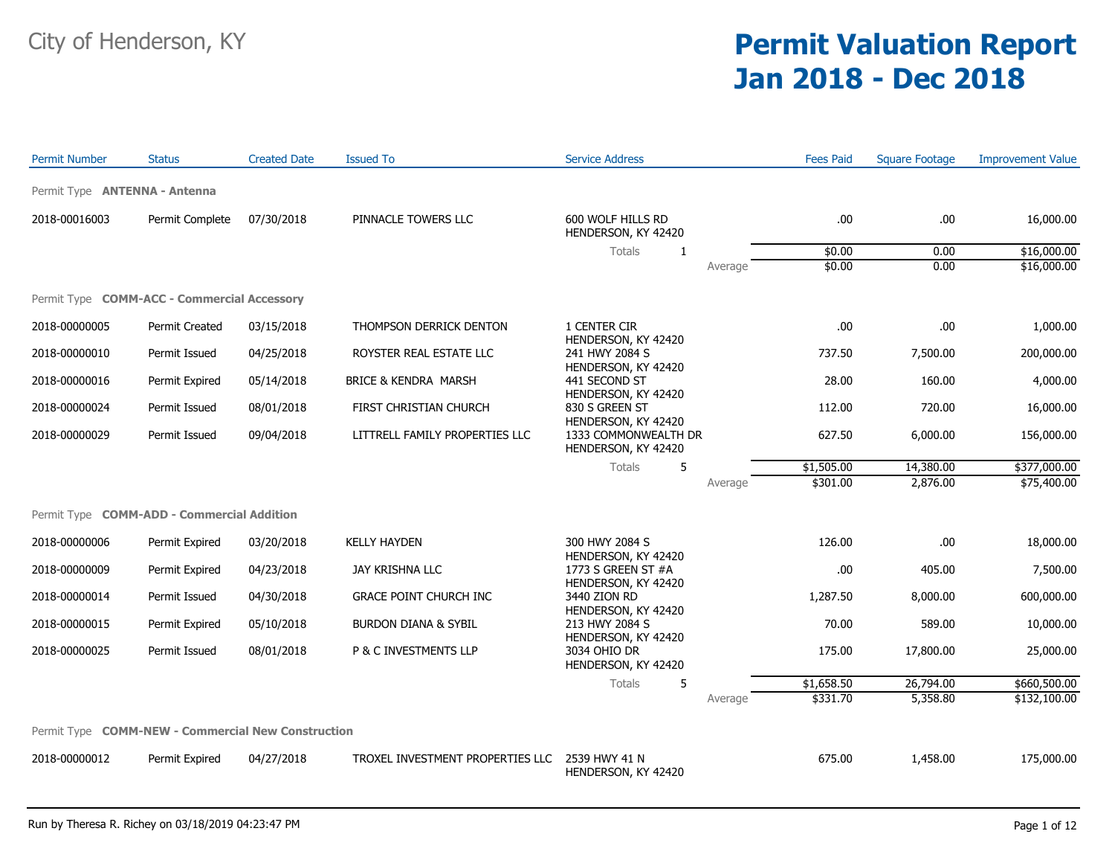## City of Henderson, KY **Permit Valuation Report Jan 2018 - Dec 2018**

| <b>Permit Number</b>                               | <b>Status</b>   | <b>Created Date</b> | <b>Issued To</b>                 | <b>Service Address</b>                                             |         | <b>Fees Paid</b> | <b>Square Footage</b> | <b>Improvement Value</b> |
|----------------------------------------------------|-----------------|---------------------|----------------------------------|--------------------------------------------------------------------|---------|------------------|-----------------------|--------------------------|
| Permit Type <b>ANTENNA - Antenna</b>               |                 |                     |                                  |                                                                    |         |                  |                       |                          |
| 2018-00016003                                      | Permit Complete | 07/30/2018          | PINNACLE TOWERS LLC              | 600 WOLF HILLS RD<br>HENDERSON, KY 42420                           |         | .00              | .00                   | 16,000.00                |
|                                                    |                 |                     |                                  | Totals<br>1                                                        |         | \$0.00           | 0.00                  | \$16,000.00              |
|                                                    |                 |                     |                                  |                                                                    | Average | \$0.00           | 0.00                  | \$16,000.00              |
| Permit Type <b>COMM-ACC - Commercial Accessory</b> |                 |                     |                                  |                                                                    |         |                  |                       |                          |
| 2018-00000005                                      | Permit Created  | 03/15/2018          | THOMPSON DERRICK DENTON          | 1 CENTER CIR<br>HENDERSON, KY 42420                                |         | .00              | .00                   | 1,000.00                 |
| 2018-00000010                                      | Permit Issued   | 04/25/2018          | ROYSTER REAL ESTATE LLC          | 241 HWY 2084 S<br>HENDERSON, KY 42420                              |         | 737.50           | 7,500.00              | 200,000.00               |
| 2018-00000016                                      | Permit Expired  | 05/14/2018          | BRICE & KENDRA MARSH             | 441 SECOND ST<br>HENDERSON, KY 42420                               |         | 28.00            | 160.00                | 4,000.00                 |
| 2018-00000024                                      | Permit Issued   | 08/01/2018          | FIRST CHRISTIAN CHURCH           | 830 S GREEN ST                                                     |         | 112.00           | 720.00                | 16,000.00                |
| 2018-00000029                                      | Permit Issued   | 09/04/2018          | LITTRELL FAMILY PROPERTIES LLC   | HENDERSON, KY 42420<br>1333 COMMONWEALTH DR<br>HENDERSON, KY 42420 |         | 627.50           | 6,000.00              | 156,000.00               |
|                                                    |                 |                     |                                  | <b>Totals</b><br>5                                                 |         | \$1,505.00       | 14,380.00             | \$377,000.00             |
|                                                    |                 |                     |                                  |                                                                    | Average | \$301.00         | 2,876.00              | \$75,400.00              |
| Permit Type <b>COMM-ADD - Commercial Addition</b>  |                 |                     |                                  |                                                                    |         |                  |                       |                          |
| 2018-00000006                                      | Permit Expired  | 03/20/2018          | <b>KELLY HAYDEN</b>              | 300 HWY 2084 S                                                     |         | 126.00           | .00                   | 18,000.00                |
| 2018-00000009                                      | Permit Expired  | 04/23/2018          | JAY KRISHNA LLC                  | HENDERSON, KY 42420<br>1773 S GREEN ST #A<br>HENDERSON, KY 42420   |         | .00              | 405.00                | 7,500.00                 |
| 2018-00000014                                      | Permit Issued   | 04/30/2018          | <b>GRACE POINT CHURCH INC</b>    | 3440 ZION RD<br>HENDERSON, KY 42420                                |         | 1,287.50         | 8,000.00              | 600,000.00               |
| 2018-00000015                                      | Permit Expired  | 05/10/2018          | BURDON DIANA & SYBIL             | 213 HWY 2084 S<br>HENDERSON, KY 42420                              |         | 70.00            | 589.00                | 10,000.00                |
| 2018-00000025                                      | Permit Issued   | 08/01/2018          | P & C INVESTMENTS LLP            | 3034 OHIO DR<br>HENDERSON, KY 42420                                |         | 175.00           | 17,800.00             | 25,000.00                |
|                                                    |                 |                     |                                  | Totals<br>5                                                        |         | \$1,658.50       | 26,794.00             | \$660,500.00             |
|                                                    |                 |                     |                                  |                                                                    | Average | \$331.70         | 5,358.80              | \$132,100.00             |
| Permit Type COMM-NEW - Commercial New Construction |                 |                     |                                  |                                                                    |         |                  |                       |                          |
| 2018-00000012                                      | Permit Expired  | 04/27/2018          | TROXEL INVESTMENT PROPERTIES LLC | 2539 HWY 41 N<br>HENDERSON, KY 42420                               |         | 675.00           | 1,458.00              | 175,000.00               |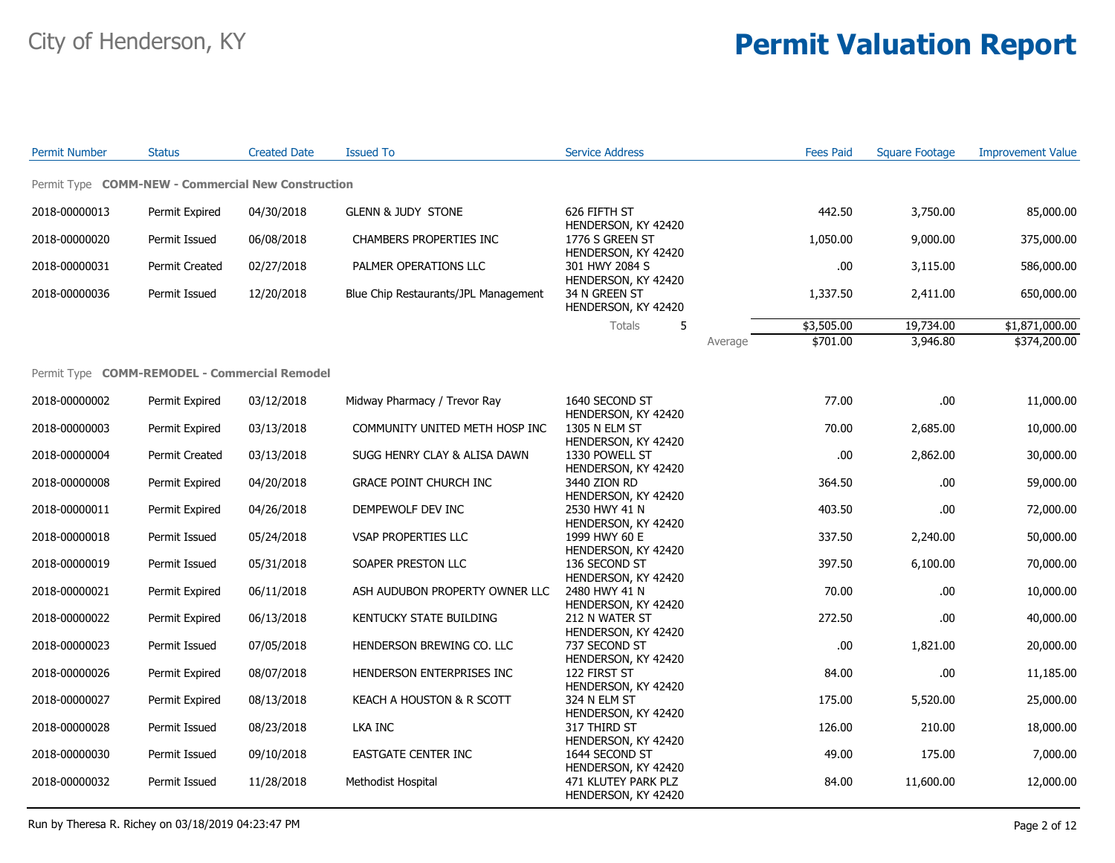| <b>Permit Number</b>                               | <b>Status</b>         | <b>Created Date</b> | <b>Issued To</b>                     | <b>Service Address</b>                                            |         | <b>Fees Paid</b> | <b>Square Footage</b> | <b>Improvement Value</b> |
|----------------------------------------------------|-----------------------|---------------------|--------------------------------------|-------------------------------------------------------------------|---------|------------------|-----------------------|--------------------------|
| Permit Type COMM-NEW - Commercial New Construction |                       |                     |                                      |                                                                   |         |                  |                       |                          |
| 2018-00000013                                      | Permit Expired        | 04/30/2018          | <b>GLENN &amp; JUDY STONE</b>        | 626 FIFTH ST                                                      |         | 442.50           | 3,750.00              | 85,000.00                |
| 2018-00000020                                      | Permit Issued         | 06/08/2018          | <b>CHAMBERS PROPERTIES INC</b>       | HENDERSON, KY 42420<br>1776 S GREEN ST<br>HENDERSON, KY 42420     |         | 1,050.00         | 9,000.00              | 375,000.00               |
| 2018-00000031                                      | <b>Permit Created</b> | 02/27/2018          | PALMER OPERATIONS LLC                | 301 HWY 2084 S<br>HENDERSON, KY 42420                             |         | .00.             | 3,115.00              | 586,000.00               |
| 2018-00000036                                      | Permit Issued         | 12/20/2018          | Blue Chip Restaurants/JPL Management | 34 N GREEN ST<br>HENDERSON, KY 42420                              |         | 1,337.50         | 2,411.00              | 650,000.00               |
|                                                    |                       |                     |                                      | Totals<br>5                                                       |         | \$3,505.00       | 19,734.00             | \$1,871,000.00           |
|                                                    |                       |                     |                                      |                                                                   | Average | \$701.00         | 3,946.80              | \$374,200.00             |
| Permit Type COMM-REMODEL - Commercial Remodel      |                       |                     |                                      |                                                                   |         |                  |                       |                          |
| 2018-00000002                                      | Permit Expired        | 03/12/2018          | Midway Pharmacy / Trevor Ray         | 1640 SECOND ST<br>HENDERSON, KY 42420                             |         | 77.00            | .00                   | 11,000.00                |
| 2018-00000003                                      | Permit Expired        | 03/13/2018          | COMMUNITY UNITED METH HOSP INC       | 1305 N ELM ST<br>HENDERSON, KY 42420                              |         | 70.00            | 2,685.00              | 10,000.00                |
| 2018-00000004                                      | Permit Created        | 03/13/2018          | SUGG HENRY CLAY & ALISA DAWN         | 1330 POWELL ST                                                    |         | .00.             | 2,862.00              | 30,000.00                |
| 2018-00000008                                      | Permit Expired        | 04/20/2018          | GRACE POINT CHURCH INC               | HENDERSON, KY 42420<br>3440 ZION RD                               |         | 364.50           | .00                   | 59,000.00                |
| 2018-00000011                                      | Permit Expired        | 04/26/2018          | DEMPEWOLF DEV INC                    | HENDERSON, KY 42420<br>2530 HWY 41 N                              |         | 403.50           | .00                   | 72,000.00                |
| 2018-00000018                                      | Permit Issued         | 05/24/2018          | VSAP PROPERTIES LLC                  | HENDERSON, KY 42420<br>1999 HWY 60 E                              |         | 337.50           | 2,240.00              | 50,000.00                |
| 2018-00000019                                      | Permit Issued         | 05/31/2018          | SOAPER PRESTON LLC                   | HENDERSON, KY 42420<br>136 SECOND ST                              |         | 397.50           | 6,100.00              | 70,000.00                |
| 2018-00000021                                      | Permit Expired        | 06/11/2018          | ASH AUDUBON PROPERTY OWNER LLC       | HENDERSON, KY 42420<br>2480 HWY 41 N                              |         | 70.00            | .00                   | 10,000.00                |
| 2018-00000022                                      | Permit Expired        | 06/13/2018          | KENTUCKY STATE BUILDING              | HENDERSON, KY 42420<br>212 N WATER ST                             |         | 272.50           | .00                   | 40,000.00                |
| 2018-00000023                                      | Permit Issued         | 07/05/2018          | HENDERSON BREWING CO. LLC            | HENDERSON, KY 42420<br>737 SECOND ST                              |         | .00.             | 1,821.00              | 20,000.00                |
| 2018-00000026                                      | Permit Expired        | 08/07/2018          | HENDERSON ENTERPRISES INC            | HENDERSON, KY 42420<br>122 FIRST ST                               |         | 84.00            | .00                   | 11,185.00                |
| 2018-00000027                                      | Permit Expired        | 08/13/2018          | KEACH A HOUSTON & R SCOTT            | HENDERSON, KY 42420<br>324 N ELM ST                               |         | 175.00           | 5,520.00              | 25,000.00                |
| 2018-00000028                                      | Permit Issued         | 08/23/2018          | LKA INC                              | HENDERSON, KY 42420<br>317 THIRD ST                               |         | 126.00           | 210.00                | 18,000.00                |
| 2018-00000030                                      | Permit Issued         | 09/10/2018          | <b>EASTGATE CENTER INC</b>           | HENDERSON, KY 42420<br>1644 SECOND ST                             |         | 49.00            | 175.00                | 7,000.00                 |
| 2018-00000032                                      | Permit Issued         | 11/28/2018          | Methodist Hospital                   | HENDERSON, KY 42420<br>471 KLUTEY PARK PLZ<br>HENDERSON, KY 42420 |         | 84.00            | 11,600.00             | 12,000.00                |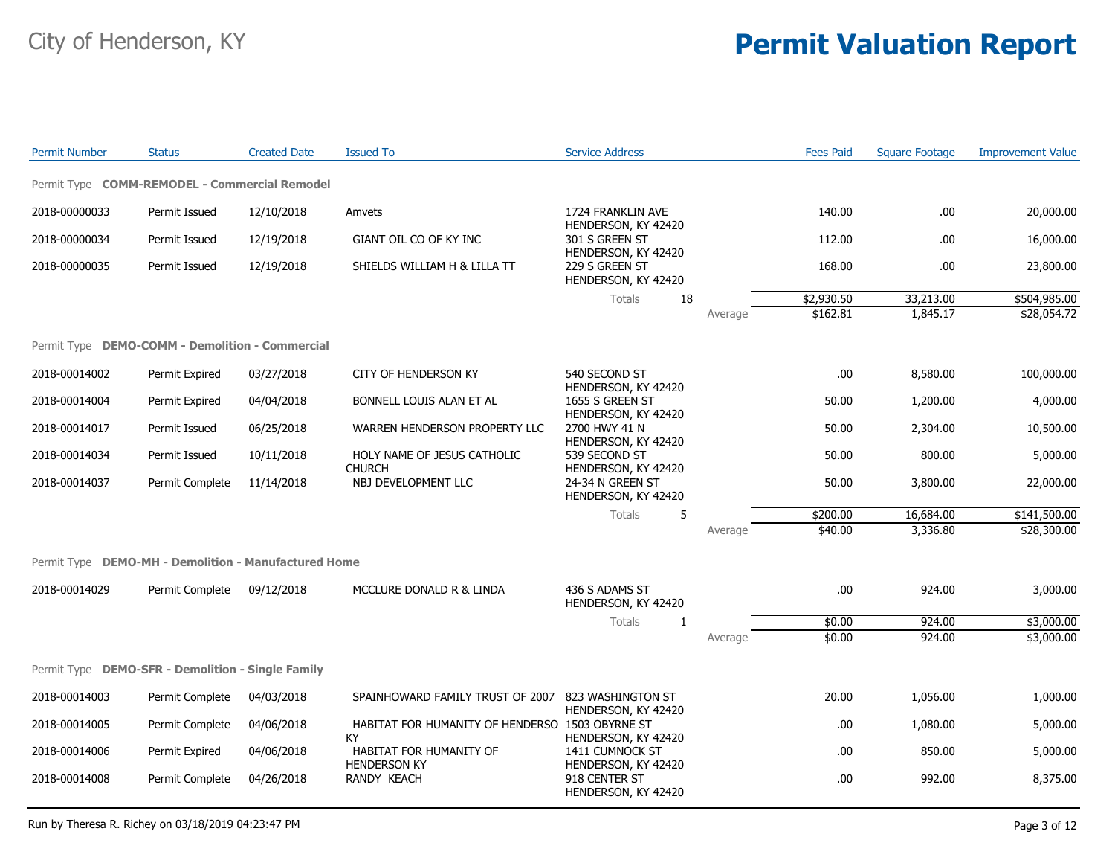| <b>Permit Number</b>                                 | <b>Status</b>   | <b>Created Date</b> | <b>Issued To</b>                                            | <b>Service Address</b>                                        |         | <b>Fees Paid</b> | <b>Square Footage</b> | <b>Improvement Value</b> |
|------------------------------------------------------|-----------------|---------------------|-------------------------------------------------------------|---------------------------------------------------------------|---------|------------------|-----------------------|--------------------------|
| Permit Type COMM-REMODEL - Commercial Remodel        |                 |                     |                                                             |                                                               |         |                  |                       |                          |
| 2018-00000033                                        | Permit Issued   | 12/10/2018          | Amvets                                                      | 1724 FRANKLIN AVE                                             |         | 140.00           | .00                   | 20,000.00                |
| 2018-00000034                                        | Permit Issued   | 12/19/2018          | GIANT OIL CO OF KY INC                                      | HENDERSON, KY 42420<br>301 S GREEN ST                         |         | 112.00           | .00                   | 16,000.00                |
| 2018-00000035                                        | Permit Issued   | 12/19/2018          | SHIELDS WILLIAM H & LILLA TT                                | HENDERSON, KY 42420<br>229 S GREEN ST<br>HENDERSON, KY 42420  |         | 168.00           | .00                   | 23,800.00                |
|                                                      |                 |                     |                                                             | <b>Totals</b><br>18                                           |         | \$2,930.50       | 33,213.00             | \$504,985.00             |
|                                                      |                 |                     |                                                             |                                                               | Average | \$162.81         | 1,845.17              | \$28,054.72              |
| Permit Type DEMO-COMM - Demolition - Commercial      |                 |                     |                                                             |                                                               |         |                  |                       |                          |
| 2018-00014002                                        | Permit Expired  | 03/27/2018          | CITY OF HENDERSON KY                                        | 540 SECOND ST                                                 |         | .00              | 8,580.00              | 100,000.00               |
| 2018-00014004                                        | Permit Expired  | 04/04/2018          | BONNELL LOUIS ALAN ET AL                                    | HENDERSON, KY 42420<br>1655 S GREEN ST                        |         | 50.00            | 1,200.00              | 4,000.00                 |
| 2018-00014017                                        | Permit Issued   | 06/25/2018          | WARREN HENDERSON PROPERTY LLC                               | HENDERSON, KY 42420<br>2700 HWY 41 N<br>HENDERSON, KY 42420   |         | 50.00            | 2,304.00              | 10,500.00                |
| 2018-00014034                                        | Permit Issued   | 10/11/2018          | HOLY NAME OF JESUS CATHOLIC<br><b>CHURCH</b>                | 539 SECOND ST<br>HENDERSON, KY 42420                          |         | 50.00            | 800.00                | 5,000.00                 |
| 2018-00014037                                        | Permit Complete | 11/14/2018          | NBJ DEVELOPMENT LLC                                         | 24-34 N GREEN ST<br>HENDERSON, KY 42420                       |         | 50.00            | 3,800.00              | 22,000.00                |
|                                                      |                 |                     |                                                             | Totals<br>5                                                   |         | \$200.00         | 16,684.00             | \$141,500.00             |
|                                                      |                 |                     |                                                             |                                                               | Average | \$40.00          | 3,336.80              | \$28,300.00              |
| Permit Type DEMO-MH - Demolition - Manufactured Home |                 |                     |                                                             |                                                               |         |                  |                       |                          |
| 2018-00014029                                        | Permit Complete | 09/12/2018          | MCCLURE DONALD R & LINDA                                    | 436 S ADAMS ST<br>HENDERSON, KY 42420                         |         | .00.             | 924.00                | 3,000.00                 |
|                                                      |                 |                     |                                                             | Totals<br>-1                                                  |         | \$0.00           | 924.00                | \$3,000.00               |
|                                                      |                 |                     |                                                             |                                                               | Average | \$0.00           | 924.00                | \$3,000.00               |
| Permit Type DEMO-SFR - Demolition - Single Family    |                 |                     |                                                             |                                                               |         |                  |                       |                          |
| 2018-00014003                                        | Permit Complete | 04/03/2018          | SPAINHOWARD FAMILY TRUST OF 2007                            | 823 WASHINGTON ST                                             |         | 20.00            | 1,056.00              | 1,000.00                 |
| 2018-00014005                                        | Permit Complete | 04/06/2018          | HABITAT FOR HUMANITY OF HENDERSO 1503 OBYRNE ST             | HENDERSON, KY 42420                                           |         | .00              | 1,080.00              | 5,000.00                 |
| 2018-00014006                                        | Permit Expired  | 04/06/2018          | <b>KY</b><br>HABITAT FOR HUMANITY OF<br><b>HENDERSON KY</b> | HENDERSON, KY 42420<br>1411 CUMNOCK ST<br>HENDERSON, KY 42420 |         | .00.             | 850.00                | 5,000.00                 |
| 2018-00014008                                        | Permit Complete | 04/26/2018          | RANDY KEACH                                                 | 918 CENTER ST<br>HENDERSON, KY 42420                          |         | .00              | 992.00                | 8,375.00                 |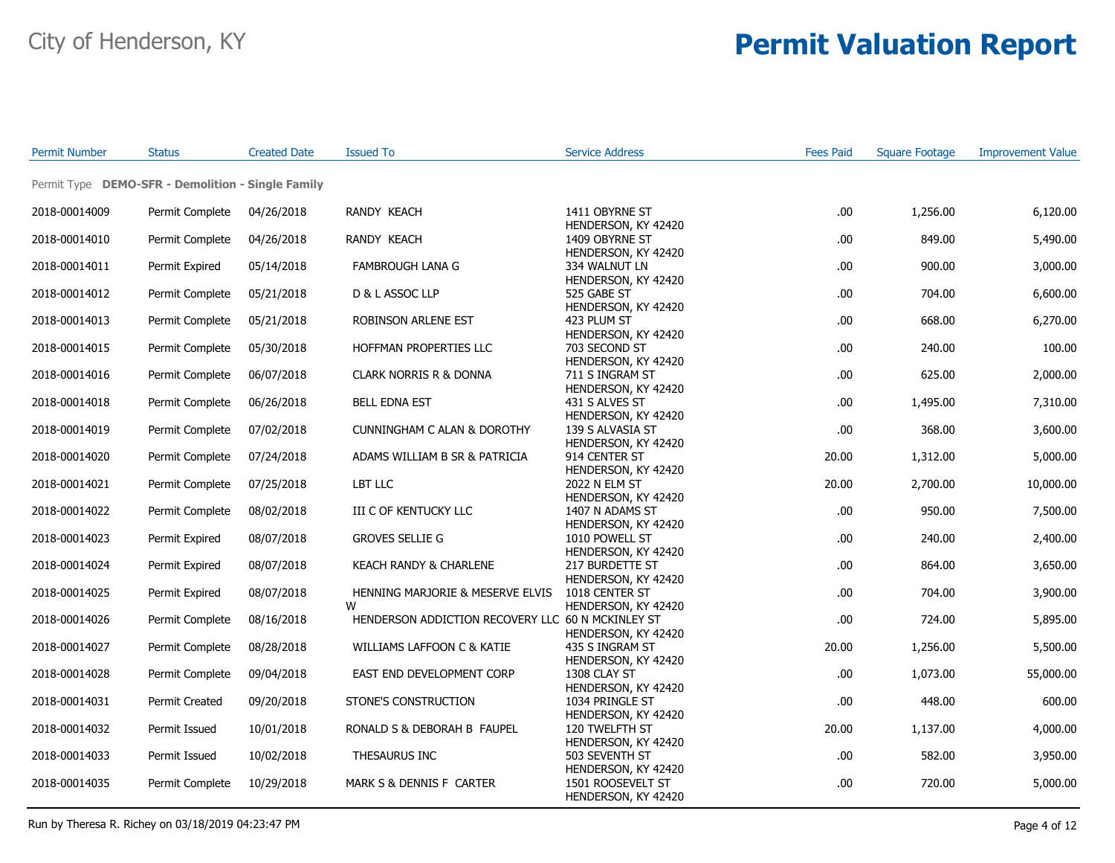| <b>Permit Number</b> | <b>Status</b>                                     | <b>Created Date</b> | <b>Issued To</b>                                  | <b>Service Address</b>                                        | <b>Fees Paid</b> | <b>Square Footage</b> | <b>Improvement Value</b> |
|----------------------|---------------------------------------------------|---------------------|---------------------------------------------------|---------------------------------------------------------------|------------------|-----------------------|--------------------------|
|                      | Permit Type DEMO-SFR - Demolition - Single Family |                     |                                                   |                                                               |                  |                       |                          |
| 2018-00014009        | Permit Complete                                   | 04/26/2018          | RANDY KEACH                                       | 1411 OBYRNE ST                                                | .00              | 1,256.00              | 6,120.00                 |
| 2018-00014010        | Permit Complete                                   | 04/26/2018          | <b>RANDY KEACH</b>                                | HENDERSON, KY 42420<br>1409 OBYRNE ST                         | .00              | 849.00                | 5,490.00                 |
| 2018-00014011        | Permit Expired                                    | 05/14/2018          | <b>FAMBROUGH LANA G</b>                           | HENDERSON, KY 42420<br>334 WALNUT LN                          | .00              | 900.00                | 3,000.00                 |
| 2018-00014012        | Permit Complete                                   | 05/21/2018          | D & L ASSOC LLP                                   | HENDERSON, KY 42420<br>525 GABE ST                            | .00              | 704.00                | 6,600.00                 |
| 2018-00014013        | Permit Complete                                   | 05/21/2018          | ROBINSON ARLENE EST                               | HENDERSON, KY 42420<br>423 PLUM ST                            | .00              | 668.00                | 6,270.00                 |
| 2018-00014015        | Permit Complete                                   | 05/30/2018          | HOFFMAN PROPERTIES LLC                            | HENDERSON, KY 42420<br>703 SECOND ST                          | .00              | 240.00                | 100.00                   |
| 2018-00014016        | Permit Complete                                   | 06/07/2018          | <b>CLARK NORRIS R &amp; DONNA</b>                 | HENDERSON, KY 42420<br>711 S INGRAM ST<br>HENDERSON, KY 42420 | .00              | 625.00                | 2,000.00                 |
| 2018-00014018        | Permit Complete                                   | 06/26/2018          | <b>BELL EDNA EST</b>                              | 431 S ALVES ST<br>HENDERSON, KY 42420                         | .00              | 1,495.00              | 7,310.00                 |
| 2018-00014019        | Permit Complete                                   | 07/02/2018          | <b>CUNNINGHAM C ALAN &amp; DOROTHY</b>            | 139 S ALVASIA ST<br>HENDERSON, KY 42420                       | .00              | 368.00                | 3,600.00                 |
| 2018-00014020        | Permit Complete                                   | 07/24/2018          | ADAMS WILLIAM B SR & PATRICIA                     | 914 CENTER ST<br>HENDERSON, KY 42420                          | 20.00            | 1,312.00              | 5,000.00                 |
| 2018-00014021        | Permit Complete                                   | 07/25/2018          | LBT LLC                                           | 2022 N ELM ST<br>HENDERSON, KY 42420                          | 20.00            | 2,700.00              | 10,000.00                |
| 2018-00014022        | Permit Complete                                   | 08/02/2018          | III C OF KENTUCKY LLC                             | 1407 N ADAMS ST<br>HENDERSON, KY 42420                        | .00              | 950.00                | 7,500.00                 |
| 2018-00014023        | Permit Expired                                    | 08/07/2018          | <b>GROVES SELLIE G</b>                            | 1010 POWELL ST<br>HENDERSON, KY 42420                         | .00              | 240.00                | 2,400.00                 |
| 2018-00014024        | Permit Expired                                    | 08/07/2018          | KEACH RANDY & CHARLENE                            | 217 BURDETTE ST<br>HENDERSON, KY 42420                        | .00              | 864.00                | 3,650.00                 |
| 2018-00014025        | Permit Expired                                    | 08/07/2018          | HENNING MARJORIE & MESERVE ELVIS<br>W             | 1018 CENTER ST<br>HENDERSON, KY 42420                         | .00              | 704.00                | 3,900.00                 |
| 2018-00014026        | Permit Complete                                   | 08/16/2018          | HENDERSON ADDICTION RECOVERY LLC 60 N MCKINLEY ST | HENDERSON, KY 42420                                           | .00              | 724.00                | 5,895.00                 |
| 2018-00014027        | Permit Complete                                   | 08/28/2018          | WILLIAMS LAFFOON C & KATIE                        | 435 S INGRAM ST<br>HENDERSON, KY 42420                        | 20.00            | 1,256.00              | 5,500.00                 |
| 2018-00014028        | Permit Complete                                   | 09/04/2018          | EAST END DEVELOPMENT CORP                         | 1308 CLAY ST<br>HENDERSON, KY 42420                           | .00              | 1,073.00              | 55,000.00                |
| 2018-00014031        | <b>Permit Created</b>                             | 09/20/2018          | STONE'S CONSTRUCTION                              | 1034 PRINGLE ST<br>HENDERSON, KY 42420                        | .00              | 448.00                | 600.00                   |
| 2018-00014032        | Permit Issued                                     | 10/01/2018          | RONALD S & DEBORAH B FAUPEL                       | 120 TWELFTH ST<br>HENDERSON, KY 42420                         | 20.00            | 1,137.00              | 4,000.00                 |
| 2018-00014033        | Permit Issued                                     | 10/02/2018          | THESAURUS INC                                     | 503 SEVENTH ST<br>HENDERSON, KY 42420                         | .00              | 582.00                | 3,950.00                 |
| 2018-00014035        | Permit Complete                                   | 10/29/2018          | MARK S & DENNIS F CARTER                          | 1501 ROOSEVELT ST<br>HENDERSON, KY 42420                      | .00              | 720.00                | 5,000.00                 |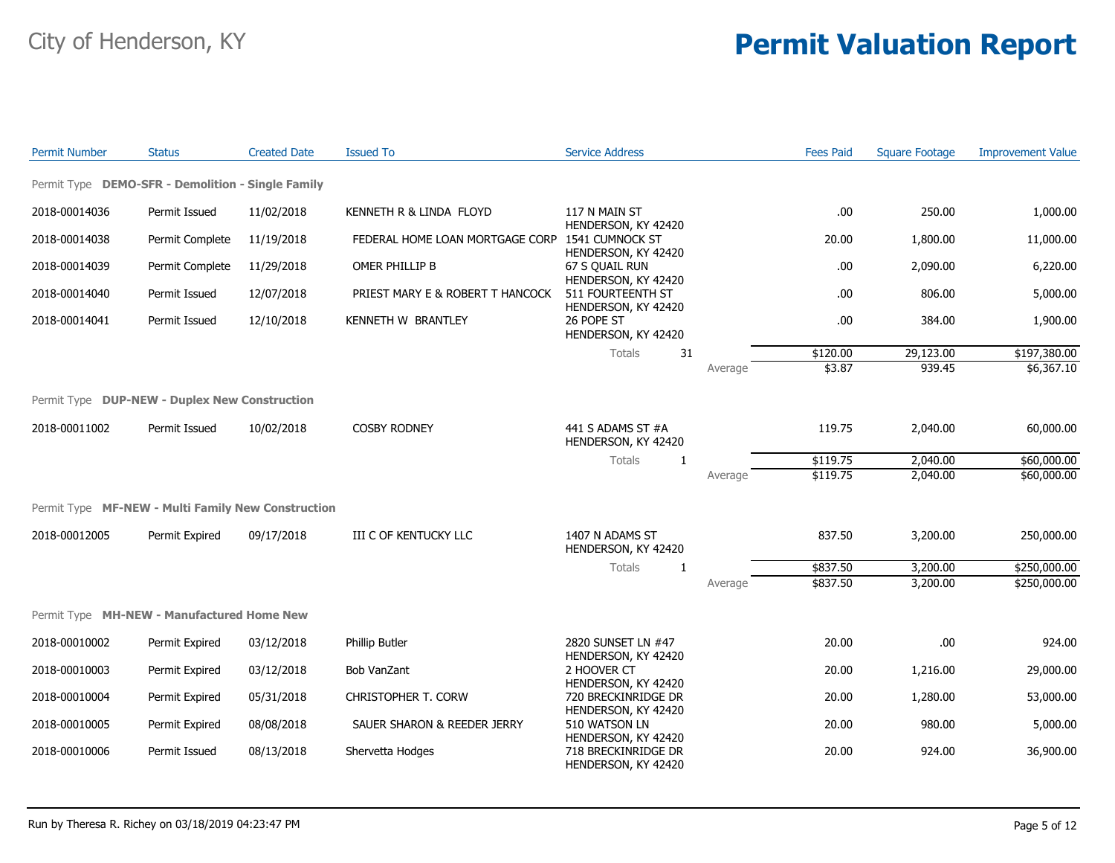| <b>Permit Number</b>                               | <b>Status</b>   | <b>Created Date</b> | <b>Issued To</b>                 | <b>Service Address</b>                                        |         | <b>Fees Paid</b> | <b>Square Footage</b> | <b>Improvement Value</b> |
|----------------------------------------------------|-----------------|---------------------|----------------------------------|---------------------------------------------------------------|---------|------------------|-----------------------|--------------------------|
| Permit Type DEMO-SFR - Demolition - Single Family  |                 |                     |                                  |                                                               |         |                  |                       |                          |
| 2018-00014036                                      | Permit Issued   | 11/02/2018          | KENNETH R & LINDA FLOYD          | 117 N MAIN ST                                                 |         | .00              | 250.00                | 1,000.00                 |
| 2018-00014038                                      | Permit Complete | 11/19/2018          | FEDERAL HOME LOAN MORTGAGE CORP  | HENDERSON, KY 42420<br>1541 CUMNOCK ST<br>HENDERSON, KY 42420 |         | 20.00            | 1,800.00              | 11,000.00                |
| 2018-00014039                                      | Permit Complete | 11/29/2018          | OMER PHILLIP B                   | 67 S OUAIL RUN<br>HENDERSON, KY 42420                         |         | .00              | 2,090.00              | 6,220.00                 |
| 2018-00014040                                      | Permit Issued   | 12/07/2018          | PRIEST MARY E & ROBERT T HANCOCK | 511 FOURTEENTH ST<br>HENDERSON, KY 42420                      |         | .00              | 806.00                | 5,000.00                 |
| 2018-00014041                                      | Permit Issued   | 12/10/2018          | KENNETH W BRANTLEY               | 26 POPE ST<br>HENDERSON, KY 42420                             |         | .00              | 384.00                | 1,900.00                 |
|                                                    |                 |                     |                                  | 31<br><b>Totals</b>                                           |         | \$120.00         | 29,123.00             | \$197,380.00             |
|                                                    |                 |                     |                                  |                                                               | Average | \$3.87           | 939.45                | \$6,367.10               |
|                                                    |                 |                     |                                  |                                                               |         |                  |                       |                          |
| Permit Type DUP-NEW - Duplex New Construction      |                 |                     |                                  |                                                               |         |                  |                       |                          |
| 2018-00011002                                      | Permit Issued   | 10/02/2018          | <b>COSBY RODNEY</b>              | 441 S ADAMS ST #A<br>HENDERSON, KY 42420                      |         | 119.75           | 2,040.00              | 60,000.00                |
|                                                    |                 |                     |                                  | <b>Totals</b><br>1                                            |         | \$119.75         | 2,040.00              | \$60,000.00              |
|                                                    |                 |                     |                                  |                                                               | Average | \$119.75         | 2,040.00              | \$60,000.00              |
| Permit Type MF-NEW - Multi Family New Construction |                 |                     |                                  |                                                               |         |                  |                       |                          |
| 2018-00012005                                      | Permit Expired  | 09/17/2018          | <b>III C OF KENTUCKY LLC</b>     | 1407 N ADAMS ST<br>HENDERSON, KY 42420                        |         | 837.50           | 3,200.00              | 250,000.00               |
|                                                    |                 |                     |                                  | Totals<br>1                                                   |         | \$837.50         | 3,200.00              | \$250,000.00             |
|                                                    |                 |                     |                                  |                                                               | Average | \$837.50         | 3,200.00              | \$250,000.00             |
| Permit Type MH-NEW - Manufactured Home New         |                 |                     |                                  |                                                               |         |                  |                       |                          |
| 2018-00010002                                      | Permit Expired  | 03/12/2018          | Phillip Butler                   | 2820 SUNSET LN #47                                            |         | 20.00            | .00                   | 924.00                   |
| 2018-00010003                                      | Permit Expired  | 03/12/2018          | <b>Bob VanZant</b>               | HENDERSON, KY 42420<br>2 HOOVER CT<br>HENDERSON, KY 42420     |         | 20.00            | 1,216.00              | 29,000.00                |
| 2018-00010004                                      | Permit Expired  | 05/31/2018          | CHRISTOPHER T. CORW              | 720 BRECKINRIDGE DR<br>HENDERSON, KY 42420                    |         | 20.00            | 1,280.00              | 53,000.00                |
| 2018-00010005                                      | Permit Expired  | 08/08/2018          | SAUER SHARON & REEDER JERRY      | 510 WATSON LN<br>HENDERSON, KY 42420                          |         | 20.00            | 980.00                | 5,000.00                 |
| 2018-00010006                                      | Permit Issued   | 08/13/2018          | Shervetta Hodges                 | 718 BRECKINRIDGE DR<br>HENDERSON, KY 42420                    |         | 20.00            | 924.00                | 36,900.00                |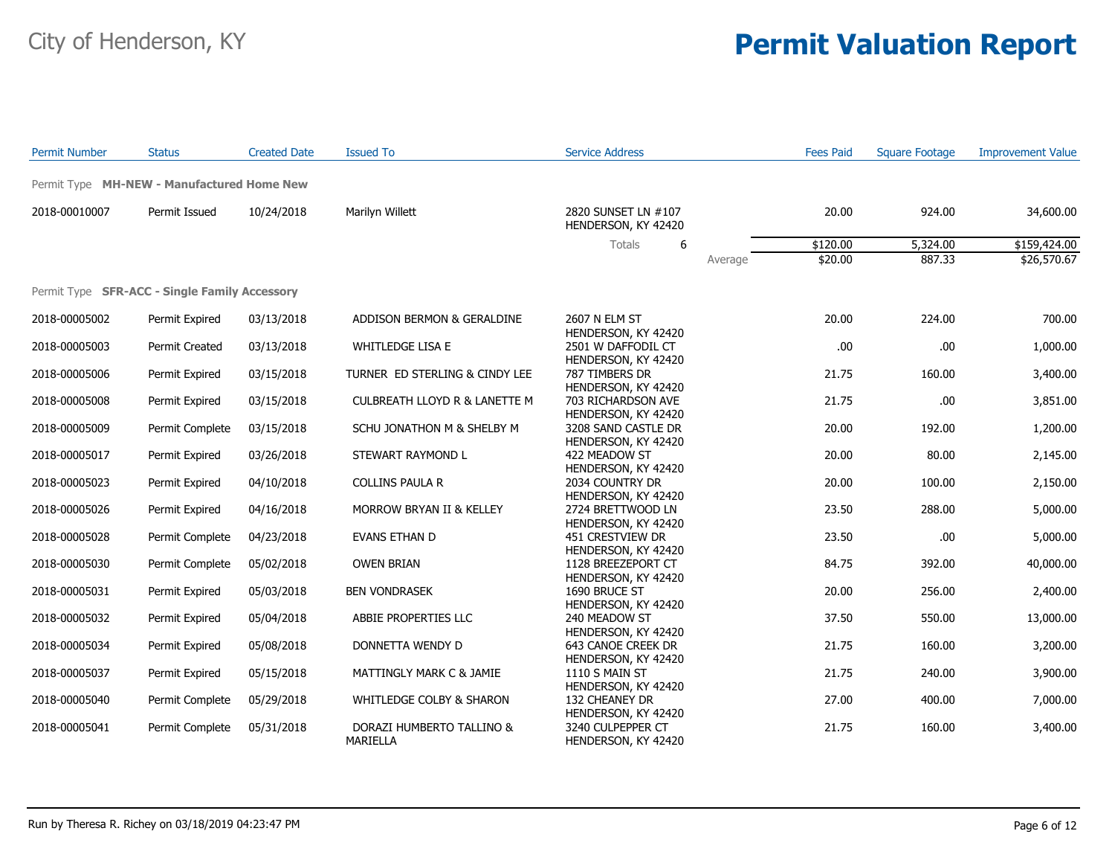| <b>Permit Number</b> | <b>Status</b>                                        | <b>Created Date</b> | <b>Issued To</b>                             | <b>Service Address</b>                                          | <b>Fees Paid</b>   | <b>Square Footage</b> | <b>Improvement Value</b> |
|----------------------|------------------------------------------------------|---------------------|----------------------------------------------|-----------------------------------------------------------------|--------------------|-----------------------|--------------------------|
|                      | Permit Type MH-NEW - Manufactured Home New           |                     |                                              |                                                                 |                    |                       |                          |
| 2018-00010007        | Permit Issued                                        | 10/24/2018          | Marilyn Willett                              | 2820 SUNSET LN #107<br>HENDERSON, KY 42420                      | 20.00              | 924.00                | 34,600.00                |
|                      |                                                      |                     |                                              | Totals<br>6                                                     | \$120.00           | 5,324.00              | \$159,424.00             |
|                      |                                                      |                     |                                              |                                                                 | \$20.00<br>Average | 887.33                | \$26,570.67              |
|                      | Permit Type <b>SFR-ACC - Single Family Accessory</b> |                     |                                              |                                                                 |                    |                       |                          |
| 2018-00005002        | Permit Expired                                       | 03/13/2018          | ADDISON BERMON & GERALDINE                   | 2607 N ELM ST<br>HENDERSON, KY 42420                            | 20.00              | 224.00                | 700.00                   |
| 2018-00005003        | <b>Permit Created</b>                                | 03/13/2018          | <b>WHITLEDGE LISA E</b>                      | 2501 W DAFFODIL CT<br>HENDERSON, KY 42420                       | .00                | .00                   | 1,000.00                 |
| 2018-00005006        | Permit Expired                                       | 03/15/2018          | TURNER ED STERLING & CINDY LEE               | 787 TIMBERS DR<br>HENDERSON, KY 42420                           | 21.75              | 160.00                | 3,400.00                 |
| 2018-00005008        | Permit Expired                                       | 03/15/2018          | <b>CULBREATH LLOYD R &amp; LANETTE M</b>     | 703 RICHARDSON AVE<br>HENDERSON, KY 42420                       | 21.75              | .00.                  | 3,851.00                 |
| 2018-00005009        | Permit Complete                                      | 03/15/2018          | SCHU JONATHON M & SHELBY M                   | 3208 SAND CASTLE DR<br>HENDERSON, KY 42420                      | 20.00              | 192.00                | 1,200.00                 |
| 2018-00005017        | Permit Expired                                       | 03/26/2018          | STEWART RAYMOND L                            | 422 MEADOW ST<br>HENDERSON, KY 42420                            | 20.00              | 80.00                 | 2,145.00                 |
| 2018-00005023        | Permit Expired                                       | 04/10/2018          | COLLINS PAULA R                              | 2034 COUNTRY DR                                                 | 20.00              | 100.00                | 2,150.00                 |
| 2018-00005026        | Permit Expired                                       | 04/16/2018          | MORROW BRYAN II & KELLEY                     | HENDERSON, KY 42420<br>2724 BRETTWOOD LN<br>HENDERSON, KY 42420 | 23.50              | 288.00                | 5,000.00                 |
| 2018-00005028        | Permit Complete                                      | 04/23/2018          | EVANS ETHAN D                                | 451 CRESTVIEW DR<br>HENDERSON, KY 42420                         | 23.50              | .00.                  | 5,000.00                 |
| 2018-00005030        | Permit Complete                                      | 05/02/2018          | <b>OWEN BRIAN</b>                            | 1128 BREEZEPORT CT<br>HENDERSON, KY 42420                       | 84.75              | 392.00                | 40,000.00                |
| 2018-00005031        | Permit Expired                                       | 05/03/2018          | <b>BEN VONDRASEK</b>                         | 1690 BRUCE ST                                                   | 20.00              | 256.00                | 2,400.00                 |
| 2018-00005032        | Permit Expired                                       | 05/04/2018          | ABBIE PROPERTIES LLC                         | HENDERSON, KY 42420<br>240 MEADOW ST<br>HENDERSON, KY 42420     | 37.50              | 550.00                | 13,000.00                |
| 2018-00005034        | Permit Expired                                       | 05/08/2018          | DONNETTA WENDY D                             | 643 CANOE CREEK DR                                              | 21.75              | 160.00                | 3,200.00                 |
| 2018-00005037        | Permit Expired                                       | 05/15/2018          | MATTINGLY MARK C & JAMIE                     | HENDERSON, KY 42420<br>1110 S MAIN ST                           | 21.75              | 240.00                | 3,900.00                 |
| 2018-00005040        | Permit Complete                                      | 05/29/2018          | WHITLEDGE COLBY & SHARON                     | HENDERSON, KY 42420<br>132 CHEANEY DR<br>HENDERSON, KY 42420    | 27.00              | 400.00                | 7,000.00                 |
| 2018-00005041        | Permit Complete                                      | 05/31/2018          | DORAZI HUMBERTO TALLINO &<br><b>MARIELLA</b> | 3240 CULPEPPER CT<br>HENDERSON, KY 42420                        | 21.75              | 160.00                | 3,400.00                 |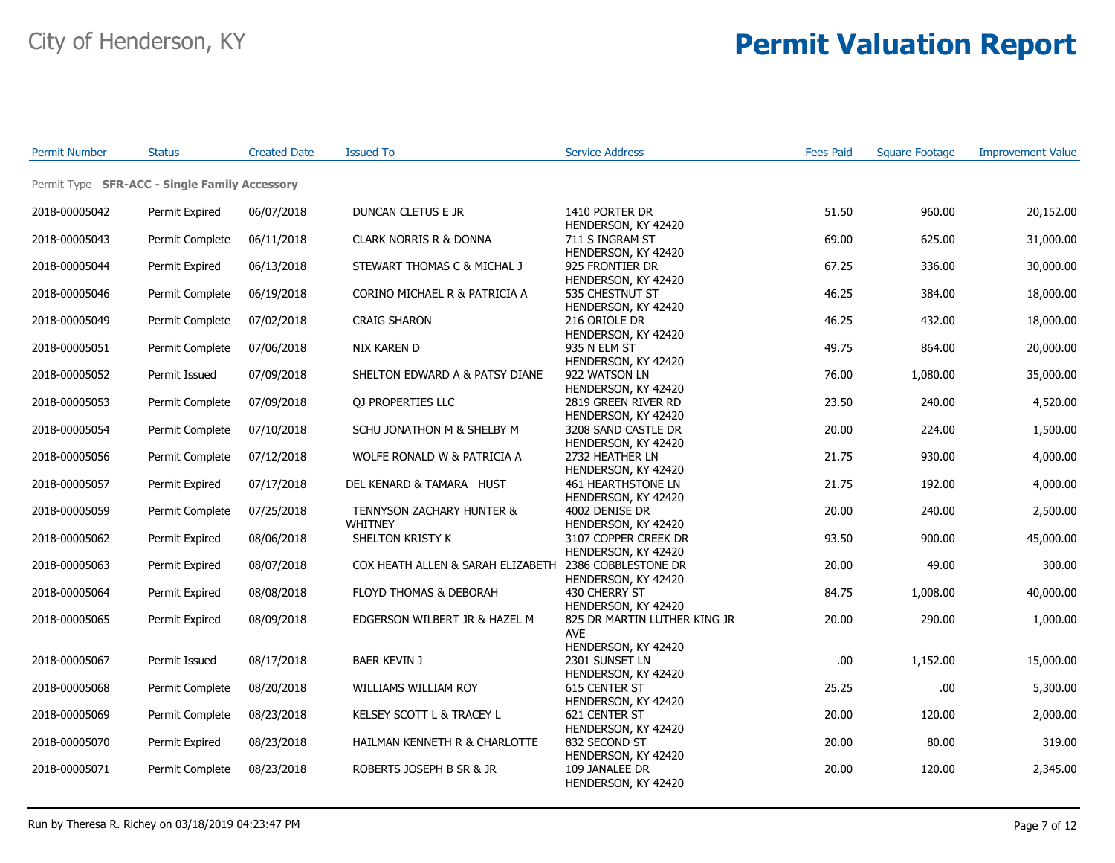| <b>Permit Number</b> | <b>Status</b>                                 | <b>Created Date</b> | <b>Issued To</b>                                      | <b>Service Address</b>                                       | <b>Fees Paid</b> | <b>Square Footage</b> | <b>Improvement Value</b> |
|----------------------|-----------------------------------------------|---------------------|-------------------------------------------------------|--------------------------------------------------------------|------------------|-----------------------|--------------------------|
|                      | Permit Type SFR-ACC - Single Family Accessory |                     |                                                       |                                                              |                  |                       |                          |
| 2018-00005042        | Permit Expired                                | 06/07/2018          | DUNCAN CLETUS E JR                                    | 1410 PORTER DR<br>HENDERSON, KY 42420                        | 51.50            | 960.00                | 20,152.00                |
| 2018-00005043        | Permit Complete                               | 06/11/2018          | CLARK NORRIS R & DONNA                                | 711 S INGRAM ST<br>HENDERSON, KY 42420                       | 69.00            | 625.00                | 31,000.00                |
| 2018-00005044        | Permit Expired                                | 06/13/2018          | STEWART THOMAS C & MICHAL J                           | 925 FRONTIER DR<br>HENDERSON, KY 42420                       | 67.25            | 336.00                | 30,000.00                |
| 2018-00005046        | Permit Complete                               | 06/19/2018          | CORINO MICHAEL R & PATRICIA A                         | 535 CHESTNUT ST<br>HENDERSON, KY 42420                       | 46.25            | 384.00                | 18,000.00                |
| 2018-00005049        | Permit Complete                               | 07/02/2018          | <b>CRAIG SHARON</b>                                   | 216 ORIOLE DR<br>HENDERSON, KY 42420                         | 46.25            | 432.00                | 18,000.00                |
| 2018-00005051        | Permit Complete                               | 07/06/2018          | NIX KAREN D                                           | 935 N ELM ST<br>HENDERSON, KY 42420                          | 49.75            | 864.00                | 20,000.00                |
| 2018-00005052        | Permit Issued                                 | 07/09/2018          | SHELTON EDWARD A & PATSY DIANE                        | 922 WATSON LN<br>HENDERSON, KY 42420                         | 76.00            | 1,080.00              | 35,000.00                |
| 2018-00005053        | Permit Complete                               | 07/09/2018          | <b>OJ PROPERTIES LLC</b>                              | 2819 GREEN RIVER RD<br>HENDERSON, KY 42420                   | 23.50            | 240.00                | 4,520.00                 |
| 2018-00005054        | Permit Complete                               | 07/10/2018          | SCHU JONATHON M & SHELBY M                            | 3208 SAND CASTLE DR<br>HENDERSON, KY 42420                   | 20.00            | 224.00                | 1,500.00                 |
| 2018-00005056        | Permit Complete                               | 07/12/2018          | WOLFE RONALD W & PATRICIA A                           | 2732 HEATHER LN<br>HENDERSON, KY 42420                       | 21.75            | 930.00                | 4,000.00                 |
| 2018-00005057        | Permit Expired                                | 07/17/2018          | DEL KENARD & TAMARA HUST                              | <b>461 HEARTHSTONE LN</b><br>HENDERSON, KY 42420             | 21.75            | 192.00                | 4,000.00                 |
| 2018-00005059        | Permit Complete                               | 07/25/2018          | TENNYSON ZACHARY HUNTER &<br><b>WHITNEY</b>           | 4002 DENISE DR<br>HENDERSON, KY 42420                        | 20.00            | 240.00                | 2,500.00                 |
| 2018-00005062        | Permit Expired                                | 08/06/2018          | SHELTON KRISTY K                                      | 3107 COPPER CREEK DR<br>HENDERSON, KY 42420                  | 93.50            | 900.00                | 45,000.00                |
| 2018-00005063        | Permit Expired                                | 08/07/2018          | COX HEATH ALLEN & SARAH ELIZABETH 2386 COBBLESTONE DR | HENDERSON, KY 42420                                          | 20.00            | 49.00                 | 300.00                   |
| 2018-00005064        | Permit Expired                                | 08/08/2018          | FLOYD THOMAS & DEBORAH                                | 430 CHERRY ST<br>HENDERSON, KY 42420                         | 84.75            | 1,008.00              | 40,000.00                |
| 2018-00005065        | Permit Expired                                | 08/09/2018          | EDGERSON WILBERT JR & HAZEL M                         | 825 DR MARTIN LUTHER KING JR<br><b>AVE</b>                   | 20.00            | 290.00                | 1,000.00                 |
| 2018-00005067        | Permit Issued                                 | 08/17/2018          | <b>BAER KEVIN J</b>                                   | HENDERSON, KY 42420<br>2301 SUNSET LN<br>HENDERSON, KY 42420 | .00              | 1,152.00              | 15,000.00                |
| 2018-00005068        | Permit Complete                               | 08/20/2018          | WILLIAMS WILLIAM ROY                                  | 615 CENTER ST<br>HENDERSON, KY 42420                         | 25.25            | .00.                  | 5,300.00                 |
| 2018-00005069        | Permit Complete                               | 08/23/2018          | KELSEY SCOTT L & TRACEY L                             | 621 CENTER ST<br>HENDERSON, KY 42420                         | 20.00            | 120.00                | 2,000.00                 |
| 2018-00005070        | Permit Expired                                | 08/23/2018          | HAILMAN KENNETH R & CHARLOTTE                         | 832 SECOND ST<br>HENDERSON, KY 42420                         | 20.00            | 80.00                 | 319.00                   |
| 2018-00005071        | Permit Complete                               | 08/23/2018          | ROBERTS JOSEPH B SR & JR                              | 109 JANALEE DR<br>HENDERSON, KY 42420                        | 20.00            | 120.00                | 2,345.00                 |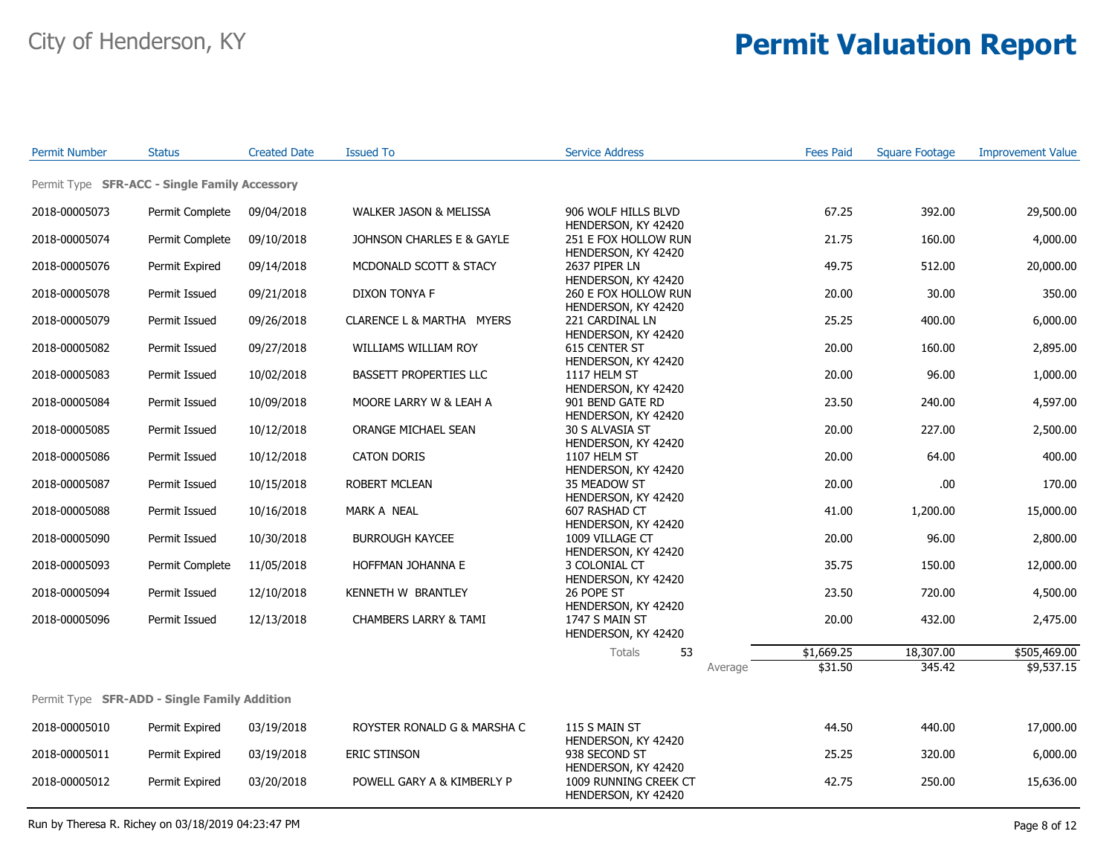| <b>Permit Number</b> | <b>Status</b>                                 | <b>Created Date</b> | <b>Issued To</b>                 | <b>Service Address</b>                                      | <b>Fees Paid</b> | <b>Square Footage</b> | <b>Improvement Value</b> |
|----------------------|-----------------------------------------------|---------------------|----------------------------------|-------------------------------------------------------------|------------------|-----------------------|--------------------------|
|                      | Permit Type SFR-ACC - Single Family Accessory |                     |                                  |                                                             |                  |                       |                          |
| 2018-00005073        | Permit Complete                               | 09/04/2018          | WALKER JASON & MELISSA           | 906 WOLF HILLS BLVD                                         | 67.25            | 392.00                | 29,500.00                |
| 2018-00005074        | Permit Complete                               | 09/10/2018          | JOHNSON CHARLES E & GAYLE        | HENDERSON, KY 42420<br>251 E FOX HOLLOW RUN                 | 21.75            | 160.00                | 4,000.00                 |
| 2018-00005076        | Permit Expired                                | 09/14/2018          | MCDONALD SCOTT & STACY           | HENDERSON, KY 42420<br>2637 PIPER LN<br>HENDERSON, KY 42420 | 49.75            | 512.00                | 20,000.00                |
| 2018-00005078        | Permit Issued                                 | 09/21/2018          | DIXON TONYA F                    | 260 E FOX HOLLOW RUN<br>HENDERSON, KY 42420                 | 20.00            | 30.00                 | 350.00                   |
| 2018-00005079        | Permit Issued                                 | 09/26/2018          | CLARENCE L & MARTHA MYERS        | 221 CARDINAL LN<br>HENDERSON, KY 42420                      | 25.25            | 400.00                | 6,000.00                 |
| 2018-00005082        | Permit Issued                                 | 09/27/2018          | WILLIAMS WILLIAM ROY             | 615 CENTER ST<br>HENDERSON, KY 42420                        | 20.00            | 160.00                | 2,895.00                 |
| 2018-00005083        | Permit Issued                                 | 10/02/2018          | BASSETT PROPERTIES LLC           | 1117 HELM ST<br>HENDERSON, KY 42420                         | 20.00            | 96.00                 | 1,000.00                 |
| 2018-00005084        | Permit Issued                                 | 10/09/2018          | MOORE LARRY W & LEAH A           | 901 BEND GATE RD<br>HENDERSON, KY 42420                     | 23.50            | 240.00                | 4,597.00                 |
| 2018-00005085        | Permit Issued                                 | 10/12/2018          | ORANGE MICHAEL SEAN              | 30 S ALVASIA ST<br>HENDERSON, KY 42420                      | 20.00            | 227.00                | 2,500.00                 |
| 2018-00005086        | Permit Issued                                 | 10/12/2018          | <b>CATON DORIS</b>               | 1107 HELM ST<br>HENDERSON, KY 42420                         | 20.00            | 64.00                 | 400.00                   |
| 2018-00005087        | Permit Issued                                 | 10/15/2018          | ROBERT MCLEAN                    | 35 MEADOW ST<br>HENDERSON, KY 42420                         | 20.00            | .00.                  | 170.00                   |
| 2018-00005088        | Permit Issued                                 | 10/16/2018          | MARK A NEAL                      | 607 RASHAD CT<br>HENDERSON, KY 42420                        | 41.00            | 1,200.00              | 15,000.00                |
| 2018-00005090        | Permit Issued                                 | 10/30/2018          | <b>BURROUGH KAYCEE</b>           | 1009 VILLAGE CT<br>HENDERSON, KY 42420                      | 20.00            | 96.00                 | 2,800.00                 |
| 2018-00005093        | Permit Complete                               | 11/05/2018          | HOFFMAN JOHANNA E                | 3 COLONIAL CT<br>HENDERSON, KY 42420                        | 35.75            | 150.00                | 12,000.00                |
| 2018-00005094        | Permit Issued                                 | 12/10/2018          | KENNETH W BRANTLEY               | 26 POPE ST<br>HENDERSON, KY 42420                           | 23.50            | 720.00                | 4,500.00                 |
| 2018-00005096        | Permit Issued                                 | 12/13/2018          | <b>CHAMBERS LARRY &amp; TAMI</b> | 1747 S MAIN ST<br>HENDERSON, KY 42420                       | 20.00            | 432.00                | 2,475.00                 |
|                      |                                               |                     |                                  | Totals<br>53                                                | \$1,669.25       | 18,307.00             | \$505,469.00             |
|                      |                                               |                     |                                  | Average                                                     | \$31.50          | 345.42                | \$9,537.15               |
|                      | Permit Type SFR-ADD - Single Family Addition  |                     |                                  |                                                             |                  |                       |                          |
| 2018-00005010        | Permit Expired                                | 03/19/2018          | ROYSTER RONALD G & MARSHA C      | 115 S MAIN ST                                               | 44.50            | 440.00                | 17,000.00                |
| 2018-00005011        | Permit Expired                                | 03/19/2018          | <b>ERIC STINSON</b>              | HENDERSON, KY 42420<br>938 SECOND ST<br>HENDERSON, KY 42420 | 25.25            | 320.00                | 6,000.00                 |
| 2018-00005012        | Permit Expired                                | 03/20/2018          | POWELL GARY A & KIMBERLY P       | 1009 RUNNING CREEK CT<br>HENDERSON, KY 42420                | 42.75            | 250.00                | 15,636.00                |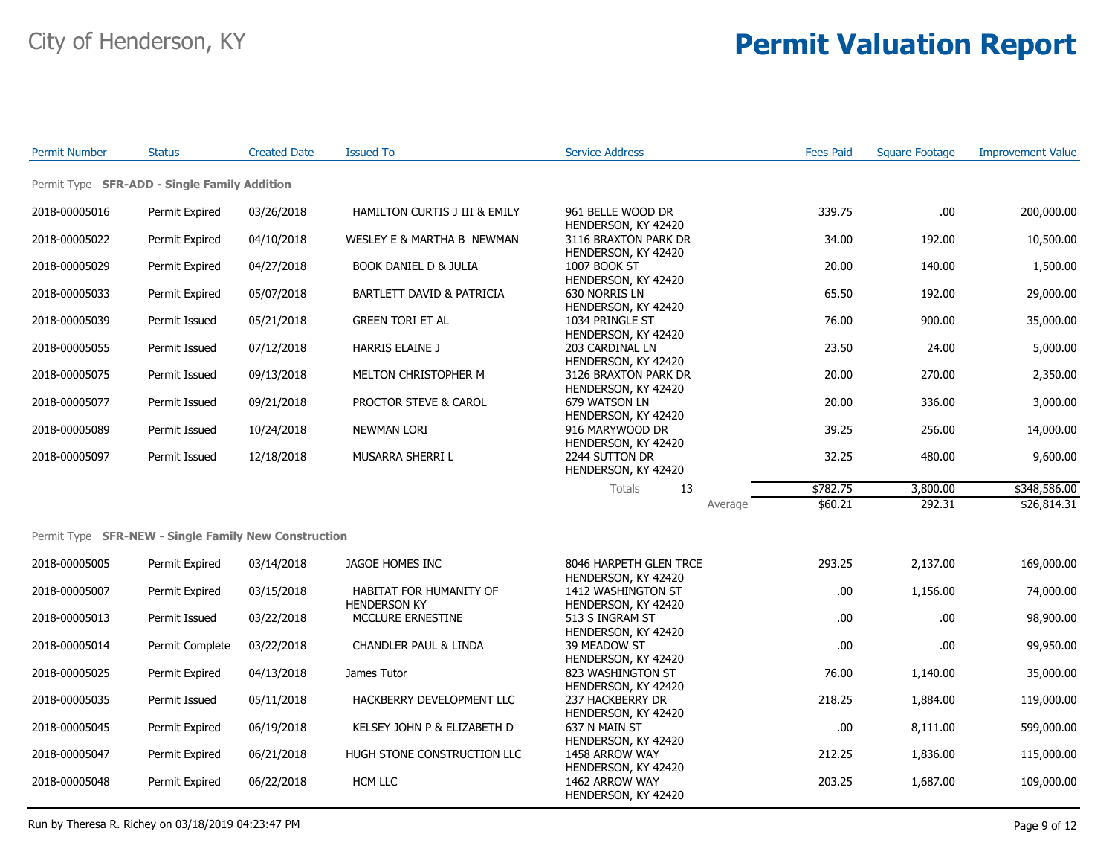| <b>Permit Number</b> | <b>Status</b>                                        | <b>Created Date</b> | <b>Issued To</b>                               | <b>Service Address</b>                        | <b>Fees Paid</b> | <b>Square Footage</b> | <b>Improvement Value</b> |
|----------------------|------------------------------------------------------|---------------------|------------------------------------------------|-----------------------------------------------|------------------|-----------------------|--------------------------|
|                      | Permit Type SFR-ADD - Single Family Addition         |                     |                                                |                                               |                  |                       |                          |
| 2018-00005016        | Permit Expired                                       | 03/26/2018          | HAMILTON CURTIS J III & EMILY                  | 961 BELLE WOOD DR<br>HENDERSON, KY 42420      | 339.75           | .00                   | 200,000.00               |
| 2018-00005022        | Permit Expired                                       | 04/10/2018          | WESLEY E & MARTHA B NEWMAN                     | 3116 BRAXTON PARK DR<br>HENDERSON, KY 42420   | 34.00            | 192.00                | 10,500.00                |
| 2018-00005029        | Permit Expired                                       | 04/27/2018          | BOOK DANIEL D & JULIA                          | <b>1007 BOOK ST</b><br>HENDERSON, KY 42420    | 20.00            | 140.00                | 1,500.00                 |
| 2018-00005033        | Permit Expired                                       | 05/07/2018          | BARTLETT DAVID & PATRICIA                      | 630 NORRIS LN<br>HENDERSON, KY 42420          | 65.50            | 192.00                | 29,000.00                |
| 2018-00005039        | Permit Issued                                        | 05/21/2018          | <b>GREEN TORI ET AL</b>                        | 1034 PRINGLE ST<br>HENDERSON, KY 42420        | 76.00            | 900.00                | 35,000.00                |
| 2018-00005055        | Permit Issued                                        | 07/12/2018          | HARRIS ELAINE J                                | 203 CARDINAL LN<br>HENDERSON, KY 42420        | 23.50            | 24.00                 | 5,000.00                 |
| 2018-00005075        | Permit Issued                                        | 09/13/2018          | MELTON CHRISTOPHER M                           | 3126 BRAXTON PARK DR<br>HENDERSON, KY 42420   | 20.00            | 270.00                | 2,350.00                 |
| 2018-00005077        | Permit Issued                                        | 09/21/2018          | PROCTOR STEVE & CAROL                          | 679 WATSON LN<br>HENDERSON, KY 42420          | 20.00            | 336.00                | 3,000.00                 |
| 2018-00005089        | Permit Issued                                        | 10/24/2018          | NEWMAN LORI                                    | 916 MARYWOOD DR<br>HENDERSON, KY 42420        | 39.25            | 256.00                | 14,000.00                |
| 2018-00005097        | Permit Issued                                        | 12/18/2018          | MUSARRA SHERRI L                               | 2244 SUTTON DR<br>HENDERSON, KY 42420         | 32.25            | 480.00                | 9,600.00                 |
|                      |                                                      |                     |                                                | Totals<br>13                                  | \$782.75         | 3,800.00              | \$348,586.00             |
|                      |                                                      |                     |                                                | Average                                       | \$60.21          | 292.31                | \$26,814.31              |
|                      | Permit Type SFR-NEW - Single Family New Construction |                     |                                                |                                               |                  |                       |                          |
| 2018-00005005        | Permit Expired                                       | 03/14/2018          | JAGOE HOMES INC                                | 8046 HARPETH GLEN TRCE<br>HENDERSON, KY 42420 | 293.25           | 2,137.00              | 169,000.00               |
| 2018-00005007        | Permit Expired                                       | 03/15/2018          | HABITAT FOR HUMANITY OF<br><b>HENDERSON KY</b> | 1412 WASHINGTON ST<br>HENDERSON, KY 42420     | .00              | 1,156.00              | 74,000.00                |
| 2018-00005013        | Permit Issued                                        | 03/22/2018          | MCCLURE ERNESTINE                              | 513 S INGRAM ST<br>HENDERSON, KY 42420        | .00              | .00                   | 98,900.00                |
| 2018-00005014        | Permit Complete                                      | 03/22/2018          | CHANDLER PAUL & LINDA                          | 39 MEADOW ST<br>HENDERSON, KY 42420           | .00              | .00                   | 99,950.00                |
| 2018-00005025        | Permit Expired                                       | 04/13/2018          | James Tutor                                    | 823 WASHINGTON ST<br>HENDERSON, KY 42420      | 76.00            | 1,140.00              | 35,000.00                |
| 2018-00005035        | Permit Issued                                        | 05/11/2018          | HACKBERRY DEVELOPMENT LLC                      | 237 HACKBERRY DR<br>HENDERSON, KY 42420       | 218.25           | 1,884.00              | 119,000.00               |
| 2018-00005045        | Permit Expired                                       | 06/19/2018          | KELSEY JOHN P & ELIZABETH D                    | 637 N MAIN ST<br>HENDERSON, KY 42420          | .00              | 8,111.00              | 599,000.00               |
| 2018-00005047        | Permit Expired                                       | 06/21/2018          | HUGH STONE CONSTRUCTION LLC                    | 1458 ARROW WAY<br>HENDERSON, KY 42420         | 212.25           | 1,836.00              | 115,000.00               |
| 2018-00005048        | Permit Expired                                       | 06/22/2018          | <b>HCM LLC</b>                                 | 1462 ARROW WAY<br>HENDERSON, KY 42420         | 203.25           | 1,687.00              | 109,000.00               |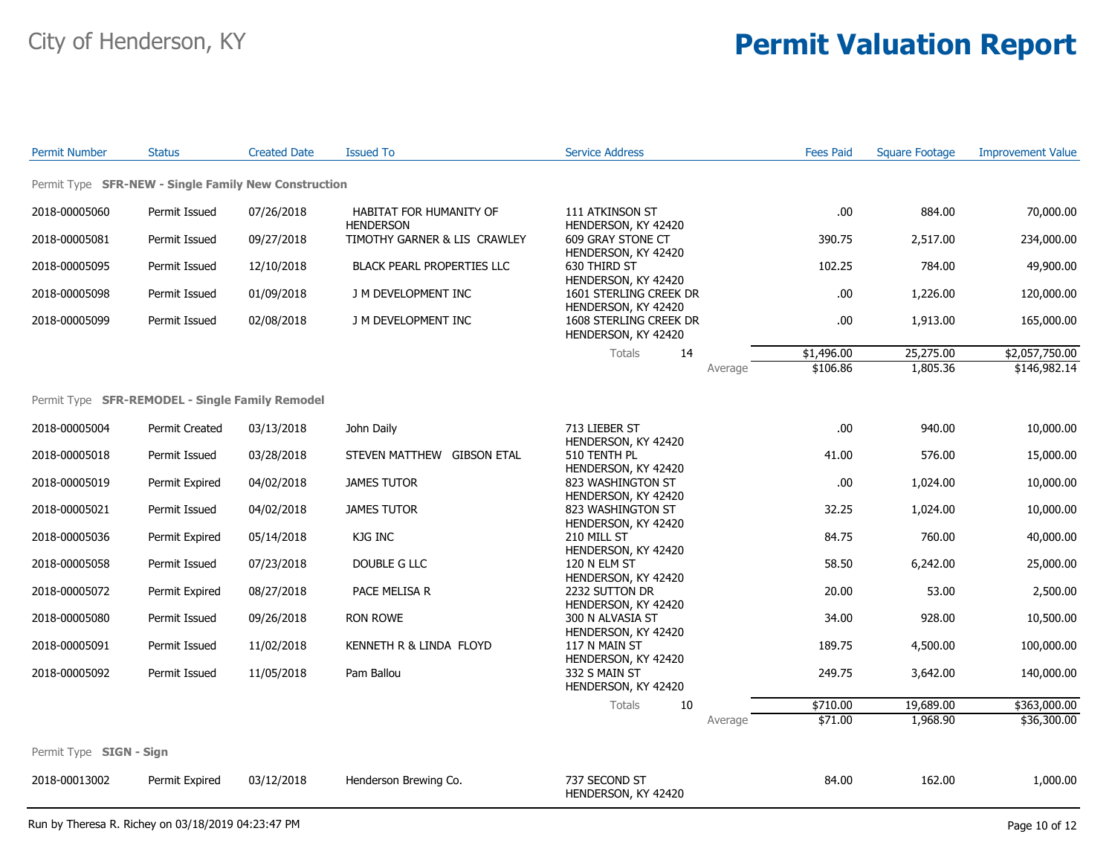| <b>Permit Number</b>                                 | <b>Status</b>  | <b>Created Date</b> | <b>Issued To</b>                            | <b>Service Address</b>                                               | <b>Fees Paid</b> | <b>Square Footage</b> | <b>Improvement Value</b> |
|------------------------------------------------------|----------------|---------------------|---------------------------------------------|----------------------------------------------------------------------|------------------|-----------------------|--------------------------|
| Permit Type SFR-NEW - Single Family New Construction |                |                     |                                             |                                                                      |                  |                       |                          |
| 2018-00005060                                        | Permit Issued  | 07/26/2018          | HABITAT FOR HUMANITY OF<br><b>HENDERSON</b> | 111 ATKINSON ST                                                      | .00              | 884.00                | 70,000.00                |
| 2018-00005081                                        | Permit Issued  | 09/27/2018          | TIMOTHY GARNER & LIS CRAWLEY                | HENDERSON, KY 42420<br>609 GRAY STONE CT                             | 390.75           | 2,517.00              | 234,000.00               |
| 2018-00005095                                        | Permit Issued  | 12/10/2018          | BLACK PEARL PROPERTIES LLC                  | HENDERSON, KY 42420<br>630 THIRD ST                                  | 102.25           | 784.00                | 49,900.00                |
| 2018-00005098                                        | Permit Issued  | 01/09/2018          | J M DEVELOPMENT INC                         | HENDERSON, KY 42420<br>1601 STERLING CREEK DR                        | .00              | 1,226.00              | 120,000.00               |
| 2018-00005099                                        | Permit Issued  | 02/08/2018          | J M DEVELOPMENT INC                         | HENDERSON, KY 42420<br>1608 STERLING CREEK DR<br>HENDERSON, KY 42420 | .00              | 1,913.00              | 165,000.00               |
|                                                      |                |                     |                                             | Totals<br>14                                                         | \$1,496.00       | 25,275.00             | \$2,057,750.00           |
|                                                      |                |                     |                                             | Average                                                              | \$106.86         | 1,805.36              | \$146,982.14             |
| Permit Type SFR-REMODEL - Single Family Remodel      |                |                     |                                             |                                                                      |                  |                       |                          |
| 2018-00005004                                        | Permit Created | 03/13/2018          | John Daily                                  | 713 LIEBER ST<br>HENDERSON, KY 42420                                 | .00              | 940.00                | 10,000.00                |
| 2018-00005018                                        | Permit Issued  | 03/28/2018          | STEVEN MATTHEW GIBSON ETAL                  | 510 TENTH PL<br>HENDERSON, KY 42420                                  | 41.00            | 576.00                | 15,000.00                |
| 2018-00005019                                        | Permit Expired | 04/02/2018          | <b>JAMES TUTOR</b>                          | 823 WASHINGTON ST<br>HENDERSON, KY 42420                             | .00              | 1,024.00              | 10,000.00                |
| 2018-00005021                                        | Permit Issued  | 04/02/2018          | <b>JAMES TUTOR</b>                          | 823 WASHINGTON ST<br>HENDERSON, KY 42420                             | 32.25            | 1,024.00              | 10,000.00                |
| 2018-00005036                                        | Permit Expired | 05/14/2018          | KJG INC                                     | 210 MILL ST<br>HENDERSON, KY 42420                                   | 84.75            | 760.00                | 40,000.00                |
| 2018-00005058                                        | Permit Issued  | 07/23/2018          | DOUBLE G LLC                                | 120 N ELM ST<br>HENDERSON, KY 42420                                  | 58.50            | 6,242.00              | 25,000.00                |
| 2018-00005072                                        | Permit Expired | 08/27/2018          | PACE MELISA R                               | 2232 SUTTON DR<br>HENDERSON, KY 42420                                | 20.00            | 53.00                 | 2,500.00                 |
| 2018-00005080                                        | Permit Issued  | 09/26/2018          | RON ROWE                                    | 300 N ALVASIA ST<br>HENDERSON, KY 42420                              | 34.00            | 928.00                | 10,500.00                |
| 2018-00005091                                        | Permit Issued  | 11/02/2018          | KENNETH R & LINDA FLOYD                     | 117 N MAIN ST<br>HENDERSON, KY 42420                                 | 189.75           | 4,500.00              | 100,000.00               |
| 2018-00005092                                        | Permit Issued  | 11/05/2018          | Pam Ballou                                  | 332 S MAIN ST<br>HENDERSON, KY 42420                                 | 249.75           | 3,642.00              | 140,000.00               |
|                                                      |                |                     |                                             | Totals<br>10                                                         | \$710.00         | 19,689.00             | \$363,000.00             |
|                                                      |                |                     |                                             | Average                                                              | \$71.00          | 1,968.90              | \$36,300.00              |
| Permit Type SIGN - Sign                              |                |                     |                                             |                                                                      |                  |                       |                          |
| 2018-00013002                                        | Permit Expired | 03/12/2018          | Henderson Brewing Co.                       | 737 SECOND ST<br>HENDERSON, KY 42420                                 | 84.00            | 162.00                | 1,000.00                 |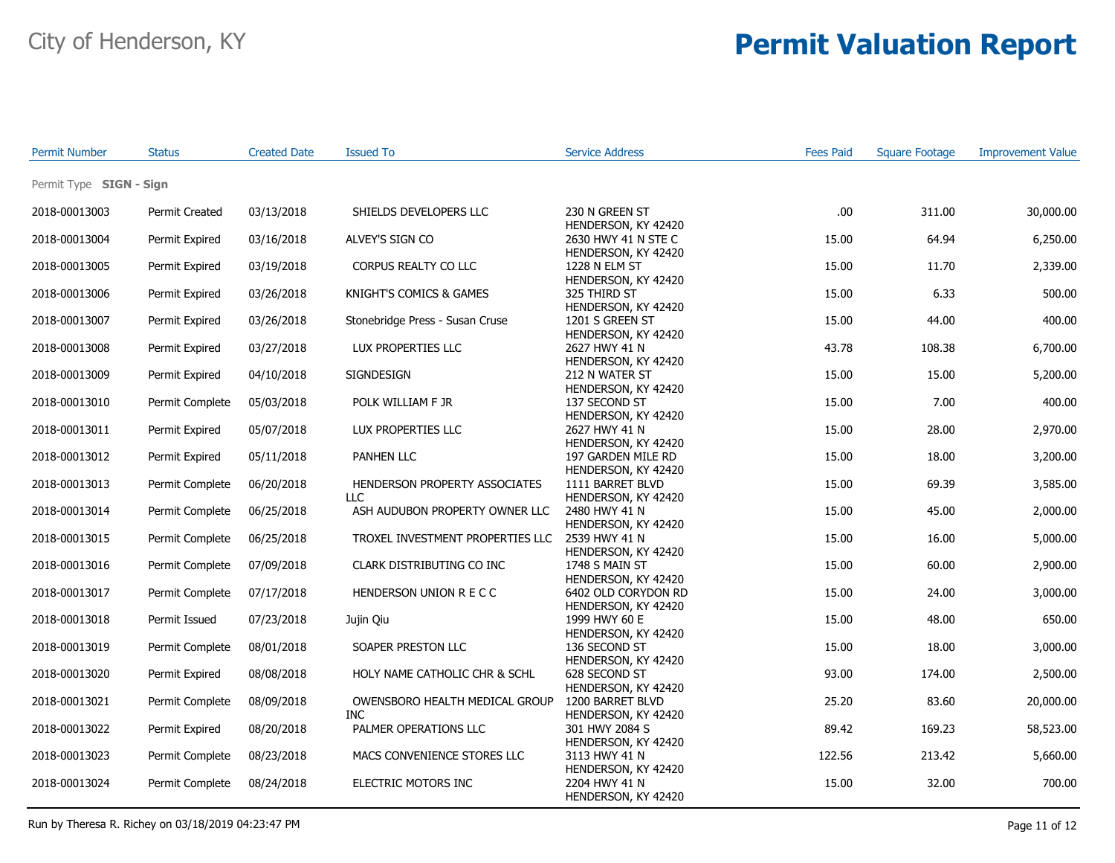| <b>Permit Number</b>    | <b>Status</b>         | <b>Created Date</b> | <b>Issued To</b>                             | <b>Service Address</b>                       | <b>Fees Paid</b> | <b>Square Footage</b> | <b>Improvement Value</b> |
|-------------------------|-----------------------|---------------------|----------------------------------------------|----------------------------------------------|------------------|-----------------------|--------------------------|
| Permit Type SIGN - Sign |                       |                     |                                              |                                              |                  |                       |                          |
| 2018-00013003           | <b>Permit Created</b> | 03/13/2018          | SHIELDS DEVELOPERS LLC                       | 230 N GREEN ST<br>HENDERSON, KY 42420        | .00.             | 311.00                | 30,000.00                |
| 2018-00013004           | Permit Expired        | 03/16/2018          | ALVEY'S SIGN CO                              | 2630 HWY 41 N STE C<br>HENDERSON, KY 42420   | 15.00            | 64.94                 | 6,250.00                 |
| 2018-00013005           | Permit Expired        | 03/19/2018          | CORPUS REALTY CO LLC                         | 1228 N ELM ST<br>HENDERSON, KY 42420         | 15.00            | 11.70                 | 2,339.00                 |
| 2018-00013006           | Permit Expired        | 03/26/2018          | KNIGHT'S COMICS & GAMES                      | 325 THIRD ST<br>HENDERSON, KY 42420          | 15.00            | 6.33                  | 500.00                   |
| 2018-00013007           | Permit Expired        | 03/26/2018          | Stonebridge Press - Susan Cruse              | 1201 S GREEN ST<br>HENDERSON, KY 42420       | 15.00            | 44.00                 | 400.00                   |
| 2018-00013008           | Permit Expired        | 03/27/2018          | LUX PROPERTIES LLC                           | 2627 HWY 41 N<br>HENDERSON, KY 42420         | 43.78            | 108.38                | 6,700.00                 |
| 2018-00013009           | Permit Expired        | 04/10/2018          | <b>SIGNDESIGN</b>                            | 212 N WATER ST<br>HENDERSON, KY 42420        | 15.00            | 15.00                 | 5,200.00                 |
| 2018-00013010           | Permit Complete       | 05/03/2018          | POLK WILLIAM F JR                            | 137 SECOND ST<br>HENDERSON, KY 42420         | 15.00            | 7.00                  | 400.00                   |
| 2018-00013011           | Permit Expired        | 05/07/2018          | LUX PROPERTIES LLC                           | 2627 HWY 41 N<br>HENDERSON, KY 42420         | 15.00            | 28.00                 | 2,970.00                 |
| 2018-00013012           | Permit Expired        | 05/11/2018          | PANHEN LLC                                   | 197 GARDEN MILE RD<br>HENDERSON, KY 42420    | 15.00            | 18.00                 | 3,200.00                 |
| 2018-00013013           | Permit Complete       | 06/20/2018          | HENDERSON PROPERTY ASSOCIATES<br>LLC         | 1111 BARRET BLVD<br>HENDERSON, KY 42420      | 15.00            | 69.39                 | 3,585.00                 |
| 2018-00013014           | Permit Complete       | 06/25/2018          | ASH AUDUBON PROPERTY OWNER LLC               | 2480 HWY 41 N<br>HENDERSON, KY 42420         | 15.00            | 45.00                 | 2,000.00                 |
| 2018-00013015           | Permit Complete       | 06/25/2018          | TROXEL INVESTMENT PROPERTIES LLC             | 2539 HWY 41 N<br>HENDERSON, KY 42420         | 15.00            | 16.00                 | 5,000.00                 |
| 2018-00013016           | Permit Complete       | 07/09/2018          | CLARK DISTRIBUTING CO INC                    | <b>1748 S MAIN ST</b><br>HENDERSON, KY 42420 | 15.00            | 60.00                 | 2,900.00                 |
| 2018-00013017           | Permit Complete       | 07/17/2018          | HENDERSON UNION R E C C                      | 6402 OLD CORYDON RD<br>HENDERSON, KY 42420   | 15.00            | 24.00                 | 3,000.00                 |
| 2018-00013018           | Permit Issued         | 07/23/2018          | Jujin Qiu                                    | 1999 HWY 60 E<br>HENDERSON, KY 42420         | 15.00            | 48.00                 | 650.00                   |
| 2018-00013019           | Permit Complete       | 08/01/2018          | SOAPER PRESTON LLC                           | 136 SECOND ST<br>HENDERSON, KY 42420         | 15.00            | 18.00                 | 3,000.00                 |
| 2018-00013020           | Permit Expired        | 08/08/2018          | HOLY NAME CATHOLIC CHR & SCHL                | 628 SECOND ST<br>HENDERSON, KY 42420         | 93.00            | 174.00                | 2,500.00                 |
| 2018-00013021           | Permit Complete       | 08/09/2018          | OWENSBORO HEALTH MEDICAL GROUP<br><b>INC</b> | 1200 BARRET BLVD<br>HENDERSON, KY 42420      | 25.20            | 83.60                 | 20,000.00                |
| 2018-00013022           | Permit Expired        | 08/20/2018          | PALMER OPERATIONS LLC                        | 301 HWY 2084 S<br>HENDERSON, KY 42420        | 89.42            | 169.23                | 58,523.00                |
| 2018-00013023           | Permit Complete       | 08/23/2018          | MACS CONVENIENCE STORES LLC                  | 3113 HWY 41 N<br>HENDERSON, KY 42420         | 122.56           | 213.42                | 5,660.00                 |
| 2018-00013024           | Permit Complete       | 08/24/2018          | ELECTRIC MOTORS INC                          | 2204 HWY 41 N<br>HENDERSON, KY 42420         | 15.00            | 32.00                 | 700.00                   |